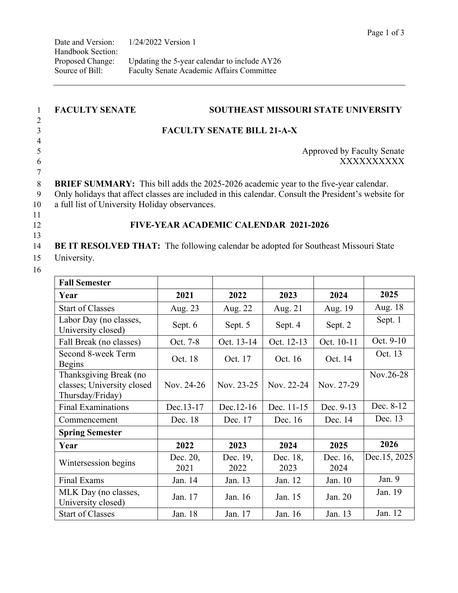| <b>FACULTY SENATE</b>                                                                                                                                                                                                                                 | <b>SOUTHEAST MISSOURI STATE UNIVERSITY</b> |                                   |                  |                  |              |  |
|-------------------------------------------------------------------------------------------------------------------------------------------------------------------------------------------------------------------------------------------------------|--------------------------------------------|-----------------------------------|------------------|------------------|--------------|--|
|                                                                                                                                                                                                                                                       |                                            | <b>FACULTY SENATE BILL 21-A-X</b> |                  |                  |              |  |
|                                                                                                                                                                                                                                                       | Approved by Faculty Senate<br>XXXXXXXXXX   |                                   |                  |                  |              |  |
| <b>BRIEF SUMMARY:</b> This bill adds the 2025-2026 academic year to the five-year calendar.<br>Only holidays that affect classes are included in this calendar. Consult the President's website for<br>a full list of University Holiday observances. |                                            |                                   |                  |                  |              |  |
|                                                                                                                                                                                                                                                       | FIVE-YEAR ACADEMIC CALENDAR 2021-2026      |                                   |                  |                  |              |  |
| BE IT RESOLVED THAT: The following calendar be adopted for Southeast Missouri State                                                                                                                                                                   |                                            |                                   |                  |                  |              |  |
| University.                                                                                                                                                                                                                                           |                                            |                                   |                  |                  |              |  |
| <b>Fall Semester</b>                                                                                                                                                                                                                                  |                                            |                                   |                  |                  |              |  |
| Year                                                                                                                                                                                                                                                  | 2021                                       | 2022                              | 2023             | 2024             | 2025         |  |
| <b>Start of Classes</b>                                                                                                                                                                                                                               | Aug. 23                                    | Aug. 22                           | Aug. 21          | Aug. 19          | Aug. 18      |  |
| Labor Day (no classes,<br>University closed)                                                                                                                                                                                                          | Sept. 6                                    | Sept. 5                           | Sept. 4          | Sept. 2          | Sept. 1      |  |
| Fall Break (no classes)                                                                                                                                                                                                                               | Oct. 7-8                                   | Oct. 13-14                        | Oct. 12-13       | Oct. 10-11       | Oct. 9-10    |  |
| Second 8-week Term<br><b>Begins</b>                                                                                                                                                                                                                   | Oct. 18                                    | Oct. 17                           | Oct. 16          | Oct. 14          | Oct. 13      |  |
| Thanksgiving Break (no<br>classes; University closed<br>Thursday/Friday)                                                                                                                                                                              | Nov. 24-26                                 | Nov. 23-25                        | Nov. 22-24       | Nov. 27-29       | Nov.26-28    |  |
| <b>Final Examinations</b>                                                                                                                                                                                                                             | Dec.13-17                                  | Dec.12-16                         | Dec. 11-15       | Dec. 9-13        | Dec. 8-12    |  |
| Commencement                                                                                                                                                                                                                                          | Dec. 18                                    | Dec. 17                           | Dec. 16          | Dec. 14          | Dec. 13      |  |
| <b>Spring Semester</b>                                                                                                                                                                                                                                |                                            |                                   |                  |                  |              |  |
| Year                                                                                                                                                                                                                                                  | 2022                                       | 2023                              | 2024             | 2025             | 2026         |  |
| Wintersession begins                                                                                                                                                                                                                                  | Dec. 20,<br>2021                           | Dec. 19,<br>2022                  | Dec. 18,<br>2023 | Dec. 16,<br>2024 | Dec.15, 2025 |  |
| Final Exams                                                                                                                                                                                                                                           | Jan. 14                                    | Jan. 13                           | Jan. 12          | Jan. 10          | Jan. 9       |  |

MLK Day (no classes, Jan. 17 Jan. 16 Jan. 15 Jan. 20 Jan. 19 Jan. 19

Start of Classes Jan. 18 Jan. 17 Jan. 16 Jan. 13 Jan. 12

Jan. 15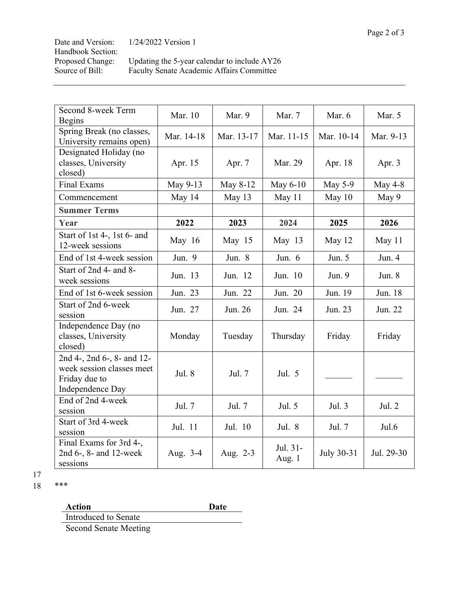| Date and Version: | $1/24/2022$ Version 1                        |
|-------------------|----------------------------------------------|
| Handbook Section: |                                              |
| Proposed Change:  | Updating the 5-year calendar to include AY26 |
| Source of Bill:   | Faculty Senate Academic Affairs Committee    |

| Second 8-week Term                                                                           | Mar. 10    | Mar. 9     | Mar. 7             | Mar. 6     | Mar. 5     |
|----------------------------------------------------------------------------------------------|------------|------------|--------------------|------------|------------|
| <b>Begins</b>                                                                                |            |            |                    |            |            |
| Spring Break (no classes,<br>University remains open)                                        | Mar. 14-18 | Mar. 13-17 | Mar. 11-15         | Mar. 10-14 | Mar. 9-13  |
| Designated Holiday (no<br>classes, University<br>closed)                                     | Apr. 15    | Apr. 7     | Mar. 29            | Apr. 18    | Apr. 3     |
| <b>Final Exams</b>                                                                           | May 9-13   | May 8-12   | May 6-10           | May 5-9    | May $4-8$  |
| Commencement                                                                                 | May 14     | May 13     | May 11             | May 10     | May 9      |
| <b>Summer Terms</b>                                                                          |            |            |                    |            |            |
| Year                                                                                         | 2022       | 2023       | 2024               | 2025       | 2026       |
| Start of 1st 4-, 1st 6- and<br>12-week sessions                                              | May 16     | May 15     | May $13$           | May 12     | May 11     |
| End of 1st 4-week session                                                                    | Jun. 9     | Jun. 8     | Jun. $6$           | Jun. 5     | Jun. 4     |
| Start of 2nd 4- and 8-<br>week sessions                                                      | Jun. 13    | Jun. 12    | Jun. 10            | Jun. 9     | Jun. $8$   |
| End of 1st 6-week session                                                                    | Jun. 23    | Jun. 22    | Jun. 20            | Jun. 19    | Jun. 18    |
| Start of 2nd 6-week<br>session                                                               | Jun. 27    | Jun. 26    | Jun. 24            | Jun. 23    | Jun. 22    |
| Independence Day (no<br>classes, University<br>closed)                                       | Monday     | Tuesday    | Thursday           | Friday     | Friday     |
| 2nd 4-, 2nd 6-, 8- and 12-<br>week session classes meet<br>Friday due to<br>Independence Day | Jul. 8     | Jul. 7     | Jul. 5             |            |            |
| End of 2nd 4-week<br>session                                                                 | Jul. 7     | Jul. 7     | Jul. 5             | Jul. 3     | Jul. 2     |
| Start of 3rd 4-week<br>session                                                               | Jul. 11    | Jul. 10    | Jul. 8             | Jul. 7     | Jul.6      |
| Final Exams for 3rd 4-,<br>2nd 6-, 8- and 12-week<br>sessions                                | Aug. 3-4   | Aug. 2-3   | Jul. 31-<br>Aug. 1 | July 30-31 | Jul. 29-30 |

17

18 \*\*\*

Action **Date**<br>
Introduced to Senate **Action** 

Second Senate Meeting